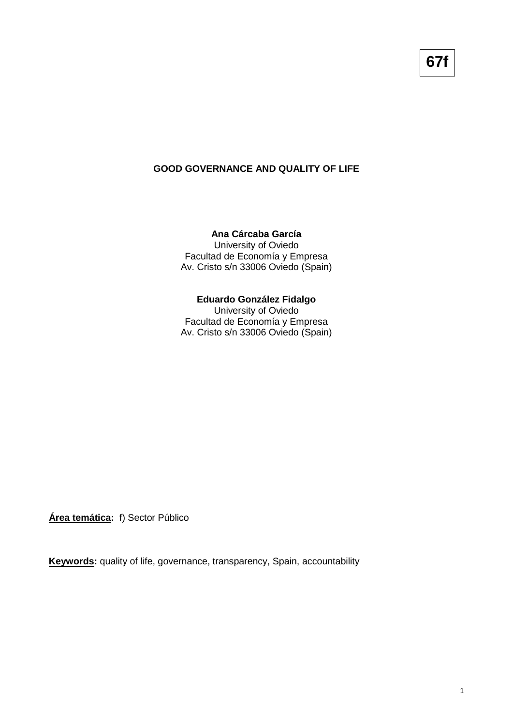## **GOOD GOVERNANCE AND QUALITY OF LIFE**

## **Ana Cárcaba García**

University of Oviedo Facultad de Economía y Empresa Av. Cristo s/n 33006 Oviedo (Spain)

### **Eduardo González Fidalgo**

University of Oviedo Facultad de Economía y Empresa Av. Cristo s/n 33006 Oviedo (Spain)

**Área temática:** f) Sector Público

**Keywords:** quality of life, governance, transparency, Spain, accountability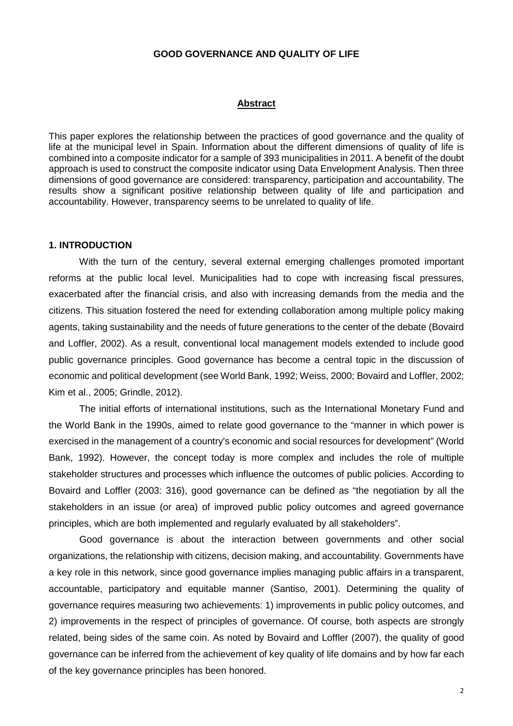## **GOOD GOVERNANCE AND QUALITY OF LIFE**

#### **Abstract**

This paper explores the relationship between the practices of good governance and the quality of life at the municipal level in Spain. Information about the different dimensions of quality of life is combined into a composite indicator for a sample of 393 municipalities in 2011. A benefit of the doubt approach is used to construct the composite indicator using Data Envelopment Analysis. Then three dimensions of good governance are considered: transparency, participation and accountability. The results show a significant positive relationship between quality of life and participation and accountability. However, transparency seems to be unrelated to quality of life.

### **1. INTRODUCTION**

With the turn of the century, several external emerging challenges promoted important reforms at the public local level. Municipalities had to cope with increasing fiscal pressures, exacerbated after the financial crisis, and also with increasing demands from the media and the citizens. This situation fostered the need for extending collaboration among multiple policy making agents, taking sustainability and the needs of future generations to the center of the debate (Bovaird and Loffler, 2002). As a result, conventional local management models extended to include good public governance principles. Good governance has become a central topic in the discussion of economic and political development (see World Bank, 1992; Weiss, 2000; Bovaird and Loffler, 2002; Kim et al., 2005; Grindle, 2012).

The initial efforts of international institutions, such as the International Monetary Fund and the World Bank in the 1990s, aimed to relate good governance to the "manner in which power is exercised in the management of a country's economic and social resources for development" (World Bank, 1992). However, the concept today is more complex and includes the role of multiple stakeholder structures and processes which influence the outcomes of public policies. According to Bovaird and Loffler (2003: 316), good governance can be defined as "the negotiation by all the stakeholders in an issue (or area) of improved public policy outcomes and agreed governance principles, which are both implemented and regularly evaluated by all stakeholders".

Good governance is about the interaction between governments and other social organizations, the relationship with citizens, decision making, and accountability. Governments have a key role in this network, since good governance implies managing public affairs in a transparent, accountable, participatory and equitable manner (Santiso, 2001). Determining the quality of governance requires measuring two achievements: 1) improvements in public policy outcomes, and 2) improvements in the respect of principles of governance. Of course, both aspects are strongly related, being sides of the same coin. As noted by Bovaird and Loffler (2007), the quality of good governance can be inferred from the achievement of key quality of life domains and by how far each of the key governance principles has been honored.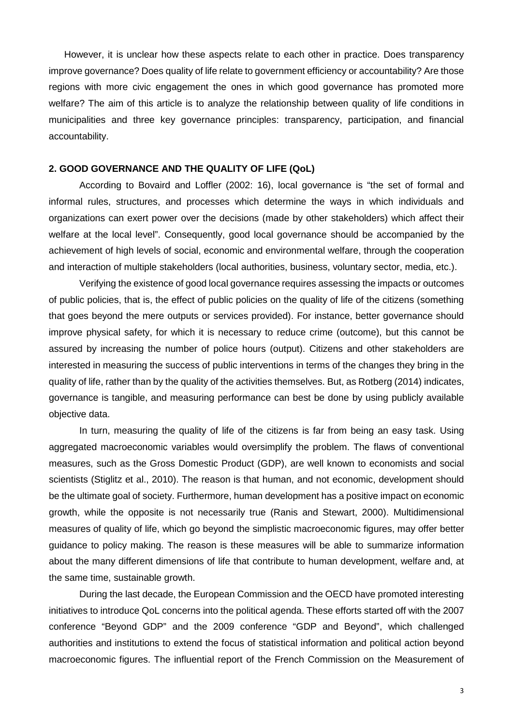However, it is unclear how these aspects relate to each other in practice. Does transparency improve governance? Does quality of life relate to government efficiency or accountability? Are those regions with more civic engagement the ones in which good governance has promoted more welfare? The aim of this article is to analyze the relationship between quality of life conditions in municipalities and three key governance principles: transparency, participation, and financial accountability.

### **2. GOOD GOVERNANCE AND THE QUALITY OF LIFE (QoL)**

According to Bovaird and Loffler (2002: 16), local governance is "the set of formal and informal rules, structures, and processes which determine the ways in which individuals and organizations can exert power over the decisions (made by other stakeholders) which affect their welfare at the local level". Consequently, good local governance should be accompanied by the achievement of high levels of social, economic and environmental welfare, through the cooperation and interaction of multiple stakeholders (local authorities, business, voluntary sector, media, etc.).

Verifying the existence of good local governance requires assessing the impacts or outcomes of public policies, that is, the effect of public policies on the quality of life of the citizens (something that goes beyond the mere outputs or services provided). For instance, better governance should improve physical safety, for which it is necessary to reduce crime (outcome), but this cannot be assured by increasing the number of police hours (output). Citizens and other stakeholders are interested in measuring the success of public interventions in terms of the changes they bring in the quality of life, rather than by the quality of the activities themselves. But, as Rotberg (2014) indicates, governance is tangible, and measuring performance can best be done by using publicly available objective data.

In turn, measuring the quality of life of the citizens is far from being an easy task. Using aggregated macroeconomic variables would oversimplify the problem. The flaws of conventional measures, such as the Gross Domestic Product (GDP), are well known to economists and social scientists (Stiglitz et al., 2010). The reason is that human, and not economic, development should be the ultimate goal of society. Furthermore, human development has a positive impact on economic growth, while the opposite is not necessarily true (Ranis and Stewart, 2000). Multidimensional measures of quality of life, which go beyond the simplistic macroeconomic figures, may offer better guidance to policy making. The reason is these measures will be able to summarize information about the many different dimensions of life that contribute to human development, welfare and, at the same time, sustainable growth.

During the last decade, the European Commission and the OECD have promoted interesting initiatives to introduce QoL concerns into the political agenda. These efforts started off with the 2007 conference "Beyond GDP" and the 2009 conference "GDP and Beyond", which challenged authorities and institutions to extend the focus of statistical information and political action beyond macroeconomic figures. The influential report of the French Commission on the Measurement of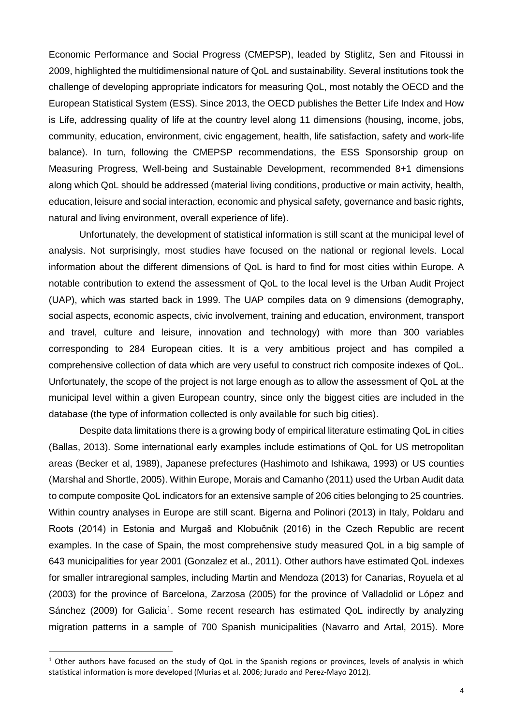Economic Performance and Social Progress (CMEPSP), leaded by Stiglitz, Sen and Fitoussi in 2009, highlighted the multidimensional nature of QoL and sustainability. Several institutions took the challenge of developing appropriate indicators for measuring QoL, most notably the OECD and the European Statistical System (ESS). Since 2013, the OECD publishes the Better Life Index and How is Life, addressing quality of life at the country level along 11 dimensions (housing, income, jobs, community, education, environment, civic engagement, health, life satisfaction, safety and work-life balance). In turn, following the CMEPSP recommendations, the ESS Sponsorship group on Measuring Progress, Well-being and Sustainable Development, recommended 8+1 dimensions along which QoL should be addressed (material living conditions, productive or main activity, health, education, leisure and social interaction, economic and physical safety, governance and basic rights, natural and living environment, overall experience of life).

Unfortunately, the development of statistical information is still scant at the municipal level of analysis. Not surprisingly, most studies have focused on the national or regional levels. Local information about the different dimensions of QoL is hard to find for most cities within Europe. A notable contribution to extend the assessment of QoL to the local level is the Urban Audit Project (UAP), which was started back in 1999. The UAP compiles data on 9 dimensions (demography, social aspects, economic aspects, civic involvement, training and education, environment, transport and travel, culture and leisure, innovation and technology) with more than 300 variables corresponding to 284 European cities. It is a very ambitious project and has compiled a comprehensive collection of data which are very useful to construct rich composite indexes of QoL. Unfortunately, the scope of the project is not large enough as to allow the assessment of QoL at the municipal level within a given European country, since only the biggest cities are included in the database (the type of information collected is only available for such big cities).

Despite data limitations there is a growing body of empirical literature estimating QoL in cities (Ballas, 2013). Some international early examples include estimations of QoL for US metropolitan areas (Becker et al, 1989), Japanese prefectures (Hashimoto and Ishikawa, 1993) or US counties (Marshal and Shortle, 2005). Within Europe, Morais and Camanho (2011) used the Urban Audit data to compute composite QoL indicators for an extensive sample of 206 cities belonging to 25 countries. Within country analyses in Europe are still scant. Bigerna and Polinori (2013) in Italy, Poldaru and Roots (2014) in Estonia and Murgaš and Klobučnik (2016) in the Czech Republic are recent examples. In the case of Spain, the most comprehensive study measured QoL in a big sample of 643 municipalities for year 2001 (Gonzalez et al., 2011). Other authors have estimated QoL indexes for smaller intraregional samples, including Martin and Mendoza (2013) for Canarias, Royuela et al (2003) for the province of Barcelona, Zarzosa (2005) for the province of Valladolid or López and Sánchez (2009) for Galicia<sup>[1](#page-3-0)</sup>. Some recent research has estimated QoL indirectly by analyzing migration patterns in a sample of 700 Spanish municipalities (Navarro and Artal, 2015). More

<span id="page-3-0"></span> $1$  Other authors have focused on the study of QoL in the Spanish regions or provinces, levels of analysis in which statistical information is more developed (Murias et al. 2006; Jurado and Perez-Mayo 2012).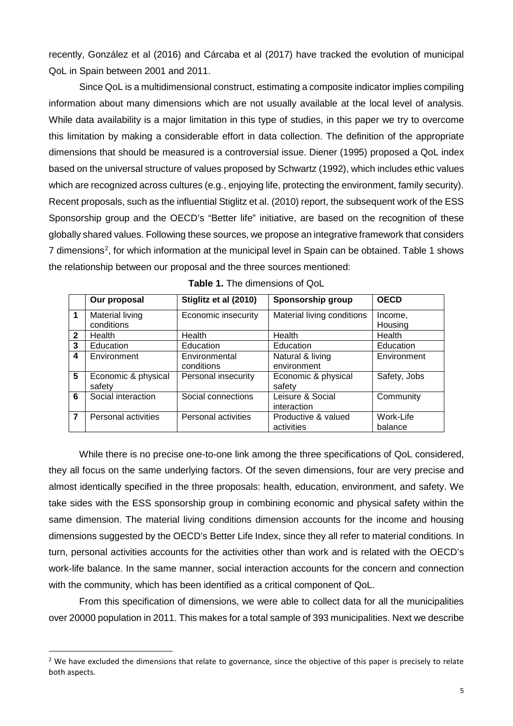recently, González et al (2016) and Cárcaba et al (2017) have tracked the evolution of municipal QoL in Spain between 2001 and 2011.

Since QoL is a multidimensional construct, estimating a composite indicator implies compiling information about many dimensions which are not usually available at the local level of analysis. While data availability is a major limitation in this type of studies, in this paper we try to overcome this limitation by making a considerable effort in data collection. The definition of the appropriate dimensions that should be measured is a controversial issue. Diener (1995) proposed a QoL index based on the universal structure of values proposed by Schwartz (1992), which includes ethic values which are recognized across cultures (e.g., enjoying life, protecting the environment, family security). Recent proposals, such as the influential Stiglitz et al. (2010) report, the subsequent work of the ESS Sponsorship group and the OECD's "Better life" initiative, are based on the recognition of these globally shared values. Following these sources, we propose an integrative framework that considers 7 dimensions<sup>[2](#page-4-0)</sup>, for which information at the municipal level in Spain can be obtained. Table 1 shows the relationship between our proposal and the three sources mentioned:

|              | Our proposal                  | Stiglitz et al (2010)       | Sponsorship group                 | <b>OECD</b>          |
|--------------|-------------------------------|-----------------------------|-----------------------------------|----------------------|
|              | Material living<br>conditions | Economic insecurity         | Material living conditions        | Income,<br>Housing   |
| $\mathbf{2}$ | Health                        | Health                      | Health                            | Health               |
| 3            | Education                     | Education                   | Education                         | Education            |
| 4            | Environment                   | Environmental<br>conditions | Natural & living<br>environment   | Environment          |
| 5            | Economic & physical<br>safety | Personal insecurity         | Economic & physical<br>safety     | Safety, Jobs         |
| 6            | Social interaction            | Social connections          | Leisure & Social<br>interaction   | Community            |
| 7            | Personal activities           | Personal activities         | Productive & valued<br>activities | Work-Life<br>balance |

**Table 1.** The dimensions of QoL

While there is no precise one-to-one link among the three specifications of QoL considered, they all focus on the same underlying factors. Of the seven dimensions, four are very precise and almost identically specified in the three proposals: health, education, environment, and safety. We take sides with the ESS sponsorship group in combining economic and physical safety within the same dimension. The material living conditions dimension accounts for the income and housing dimensions suggested by the OECD's Better Life Index, since they all refer to material conditions. In turn, personal activities accounts for the activities other than work and is related with the OECD's work-life balance. In the same manner, social interaction accounts for the concern and connection with the community, which has been identified as a critical component of QoL.

From this specification of dimensions, we were able to collect data for all the municipalities over 20000 population in 2011. This makes for a total sample of 393 municipalities. Next we describe

<span id="page-4-0"></span><sup>&</sup>lt;sup>2</sup> We have excluded the dimensions that relate to governance, since the objective of this paper is precisely to relate both aspects.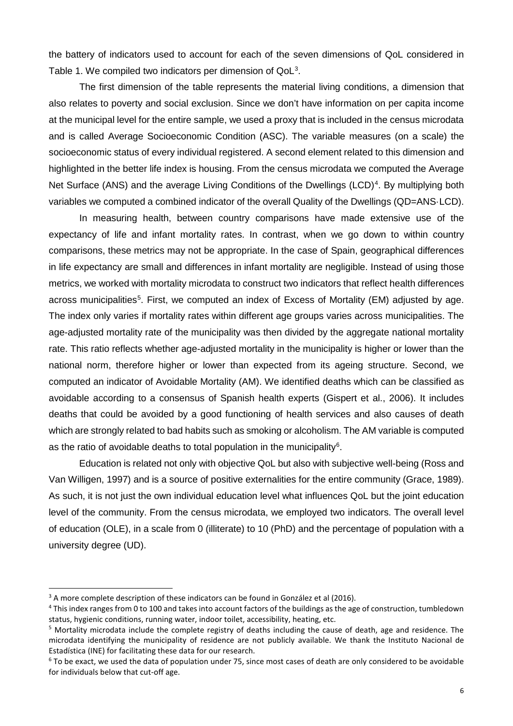the battery of indicators used to account for each of the seven dimensions of QoL considered in Table 1. We compiled two indicators per dimension of QoL<sup>[3](#page-5-0)</sup>.

The first dimension of the table represents the material living conditions, a dimension that also relates to poverty and social exclusion. Since we don't have information on per capita income at the municipal level for the entire sample, we used a proxy that is included in the census microdata and is called Average Socioeconomic Condition (ASC). The variable measures (on a scale) the socioeconomic status of every individual registered. A second element related to this dimension and highlighted in the better life index is housing. From the census microdata we computed the Average Net Surface (ANS) and the average Living Conditions of the Dwellings (LCD)<sup>[4](#page-5-1)</sup>. By multiplying both variables we computed a combined indicator of the overall Quality of the Dwellings (QD=ANS·LCD).

In measuring health, between country comparisons have made extensive use of the expectancy of life and infant mortality rates. In contrast, when we go down to within country comparisons, these metrics may not be appropriate. In the case of Spain, geographical differences in life expectancy are small and differences in infant mortality are negligible. Instead of using those metrics, we worked with mortality microdata to construct two indicators that reflect health differences across municipalities<sup>[5](#page-5-2)</sup>. First, we computed an index of Excess of Mortality (EM) adjusted by age. The index only varies if mortality rates within different age groups varies across municipalities. The age-adjusted mortality rate of the municipality was then divided by the aggregate national mortality rate. This ratio reflects whether age-adjusted mortality in the municipality is higher or lower than the national norm, therefore higher or lower than expected from its ageing structure. Second, we computed an indicator of Avoidable Mortality (AM). We identified deaths which can be classified as avoidable according to a consensus of Spanish health experts (Gispert et al., 2006). It includes deaths that could be avoided by a good functioning of health services and also causes of death which are strongly related to bad habits such as smoking or alcoholism. The AM variable is computed as the ratio of avoidable deaths to total population in the municipality<sup>[6](#page-5-3)</sup>.

Education is related not only with objective QoL but also with subjective well-being (Ross and Van Willigen, 1997) and is a source of positive externalities for the entire community (Grace, 1989). As such, it is not just the own individual education level what influences QoL but the joint education level of the community. From the census microdata, we employed two indicators. The overall level of education (OLE), in a scale from 0 (illiterate) to 10 (PhD) and the percentage of population with a university degree (UD).

<span id="page-5-0"></span><sup>&</sup>lt;sup>3</sup> A more complete description of these indicators can be found in González et al (2016).

<span id="page-5-1"></span><sup>4</sup> This index ranges from 0 to 100 and takes into account factors of the buildings as the age of construction, tumbledown status, hygienic conditions, running water, indoor toilet, accessibility, heating, etc.

<span id="page-5-2"></span><sup>5</sup> Mortality microdata include the complete registry of deaths including the cause of death, age and residence. The microdata identifying the municipality of residence are not publicly available. We thank the Instituto Nacional de Estadística (INE) for facilitating these data for our research.

<span id="page-5-3"></span> $6$  To be exact, we used the data of population under 75, since most cases of death are only considered to be avoidable for individuals below that cut-off age.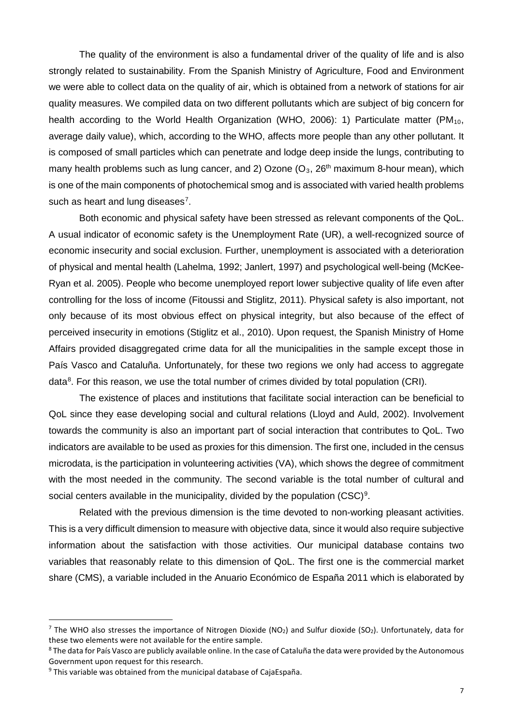The quality of the environment is also a fundamental driver of the quality of life and is also strongly related to sustainability. From the Spanish Ministry of Agriculture, Food and Environment we were able to collect data on the quality of air, which is obtained from a network of stations for air quality measures. We compiled data on two different pollutants which are subject of big concern for health according to the World Health Organization (WHO, 2006): 1) Particulate matter (PM<sub>10</sub>, average daily value), which, according to the WHO, affects more people than any other pollutant. It is composed of small particles which can penetrate and lodge deep inside the lungs, contributing to many health problems such as lung cancer, and 2) Ozone  $(O_3, 26<sup>th</sup>$  maximum 8-hour mean), which is one of the main components of photochemical smog and is associated with varied health problems such as heart and lung diseases<sup>[7](#page-6-0)</sup>.

Both economic and physical safety have been stressed as relevant components of the QoL. A usual indicator of economic safety is the Unemployment Rate (UR), a well-recognized source of economic insecurity and social exclusion. Further, unemployment is associated with a deterioration of physical and mental health (Lahelma, 1992; Janlert, 1997) and psychological well-being (McKee-Ryan et al. 2005). People who become unemployed report lower subjective quality of life even after controlling for the loss of income (Fitoussi and Stiglitz, 2011). Physical safety is also important, not only because of its most obvious effect on physical integrity, but also because of the effect of perceived insecurity in emotions (Stiglitz et al., 2010). Upon request, the Spanish Ministry of Home Affairs provided disaggregated crime data for all the municipalities in the sample except those in País Vasco and Cataluña. Unfortunately, for these two regions we only had access to aggregate data<sup>[8](#page-6-1)</sup>. For this reason, we use the total number of crimes divided by total population (CRI).

The existence of places and institutions that facilitate social interaction can be beneficial to QoL since they ease developing social and cultural relations (Lloyd and Auld, 2002). Involvement towards the community is also an important part of social interaction that contributes to QoL. Two indicators are available to be used as proxies for this dimension. The first one, included in the census microdata, is the participation in volunteering activities (VA), which shows the degree of commitment with the most needed in the community. The second variable is the total number of cultural and social centers available in the municipality, divided by the population  $(CSC)^9$  $(CSC)^9$ .

Related with the previous dimension is the time devoted to non-working pleasant activities. This is a very difficult dimension to measure with objective data, since it would also require subjective information about the satisfaction with those activities. Our municipal database contains two variables that reasonably relate to this dimension of QoL. The first one is the commercial market share (CMS), a variable included in the Anuario Económico de España 2011 which is elaborated by

<span id="page-6-0"></span><sup>&</sup>lt;sup>7</sup> The WHO also stresses the importance of Nitrogen Dioxide (NO<sub>2</sub>) and Sulfur dioxide (SO<sub>2</sub>). Unfortunately, data for these two elements were not available for the entire sample.<br><sup>8</sup> The data for País Vasco are publicly available online. In the case of Cataluña the data were provided by the Autonomous

<span id="page-6-1"></span>Government upon request for this research.

<span id="page-6-2"></span><sup>&</sup>lt;sup>9</sup> This variable was obtained from the municipal database of CajaEspaña.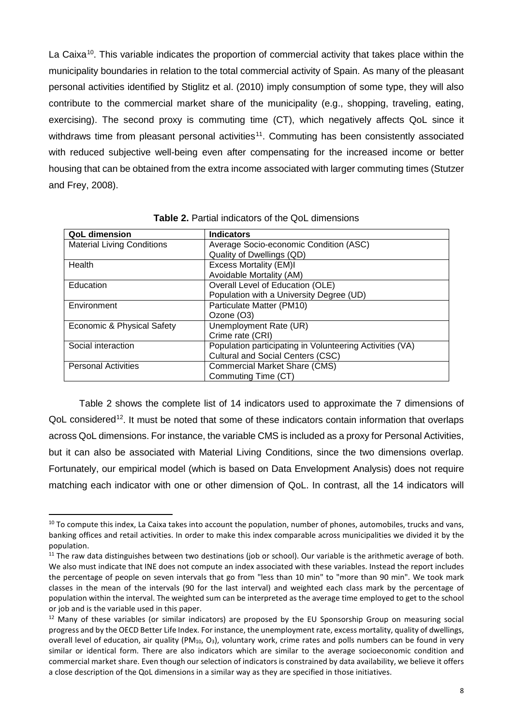La Caixa<sup>10</sup>. This variable indicates the proportion of commercial activity that takes place within the municipality boundaries in relation to the total commercial activity of Spain. As many of the pleasant personal activities identified by Stiglitz et al. (2010) imply consumption of some type, they will also contribute to the commercial market share of the municipality (e.g., shopping, traveling, eating, exercising). The second proxy is commuting time (CT), which negatively affects QoL since it withdraws time from pleasant personal activities<sup>11</sup>. Commuting has been consistently associated with reduced subjective well-being even after compensating for the increased income or better housing that can be obtained from the extra income associated with larger commuting times (Stutzer and Frey, 2008).

| <b>QoL dimension</b>              | <b>Indicators</b>                                        |
|-----------------------------------|----------------------------------------------------------|
| <b>Material Living Conditions</b> | Average Socio-economic Condition (ASC)                   |
|                                   | Quality of Dwellings (QD)                                |
| Health                            | <b>Excess Mortality (EM)I</b>                            |
|                                   | Avoidable Mortality (AM)                                 |
| Education                         | Overall Level of Education (OLE)                         |
|                                   | Population with a University Degree (UD)                 |
| Environment                       | Particulate Matter (PM10)                                |
|                                   | Ozone (O3)                                               |
| Economic & Physical Safety        | Unemployment Rate (UR)                                   |
|                                   | Crime rate (CRI)                                         |
| Social interaction                | Population participating in Volunteering Activities (VA) |
|                                   | <b>Cultural and Social Centers (CSC)</b>                 |
| <b>Personal Activities</b>        | <b>Commercial Market Share (CMS)</b>                     |
|                                   | Commuting Time (CT)                                      |

**Table 2.** Partial indicators of the QoL dimensions

Table 2 shows the complete list of 14 indicators used to approximate the 7 dimensions of QoL considered<sup>12</sup>. It must be noted that some of these indicators contain information that overlaps across QoL dimensions. For instance, the variable CMS is included as a proxy for Personal Activities, but it can also be associated with Material Living Conditions, since the two dimensions overlap. Fortunately, our empirical model (which is based on Data Envelopment Analysis) does not require matching each indicator with one or other dimension of QoL. In contrast, all the 14 indicators will

<span id="page-7-0"></span> $10$  To compute this index, La Caixa takes into account the population, number of phones, automobiles, trucks and vans, banking offices and retail activities. In order to make this index comparable across municipalities we divided it by the population.

<span id="page-7-1"></span> $11$  The raw data distinguishes between two destinations (job or school). Our variable is the arithmetic average of both. We also must indicate that INE does not compute an index associated with these variables. Instead the report includes the percentage of people on seven intervals that go from "less than 10 min" to "more than 90 min". We took mark classes in the mean of the intervals (90 for the last interval) and weighted each class mark by the percentage of population within the interval. The weighted sum can be interpreted as the average time employed to get to the school or job and is the variable used in this paper.

<span id="page-7-2"></span> $12$  Many of these variables (or similar indicators) are proposed by the EU Sponsorship Group on measuring social progress and by the OECD Better Life Index. For instance, the unemployment rate, excess mortality, quality of dwellings, overall level of education, air quality (PM<sub>10</sub>, O<sub>3</sub>), voluntary work, crime rates and polls numbers can be found in very similar or identical form. There are also indicators which are similar to the average socioeconomic condition and commercial market share. Even though our selection of indicators is constrained by data availability, we believe it offers a close description of the QoL dimensions in a similar way as they are specified in those initiatives.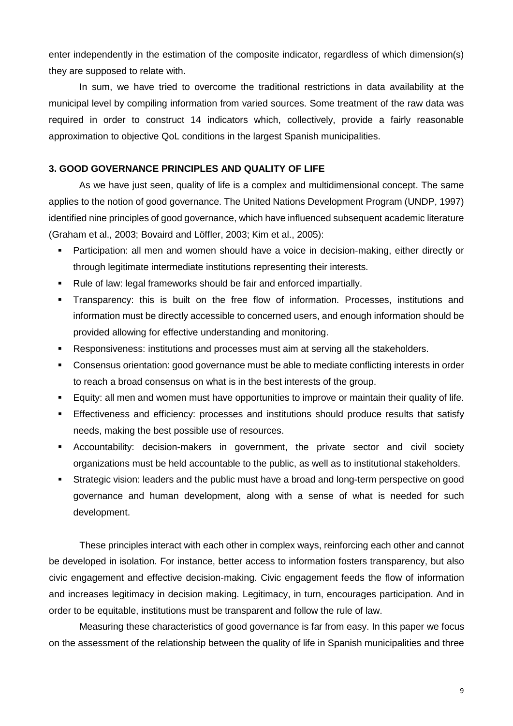enter independently in the estimation of the composite indicator, regardless of which dimension(s) they are supposed to relate with.

In sum, we have tried to overcome the traditional restrictions in data availability at the municipal level by compiling information from varied sources. Some treatment of the raw data was required in order to construct 14 indicators which, collectively, provide a fairly reasonable approximation to objective QoL conditions in the largest Spanish municipalities.

## **3. GOOD GOVERNANCE PRINCIPLES AND QUALITY OF LIFE**

As we have just seen, quality of life is a complex and multidimensional concept. The same applies to the notion of good governance. The United Nations Development Program (UNDP, 1997) identified nine principles of good governance, which have influenced subsequent academic literature (Graham et al., 2003; Bovaird and Löffler, 2003; Kim et al., 2005):

- Participation: all men and women should have a voice in decision-making, either directly or through legitimate intermediate institutions representing their interests.
- Rule of law: legal frameworks should be fair and enforced impartially.
- Transparency: this is built on the free flow of information. Processes, institutions and information must be directly accessible to concerned users, and enough information should be provided allowing for effective understanding and monitoring.
- Responsiveness: institutions and processes must aim at serving all the stakeholders.
- Consensus orientation: good governance must be able to mediate conflicting interests in order to reach a broad consensus on what is in the best interests of the group.
- Equity: all men and women must have opportunities to improve or maintain their quality of life.
- Effectiveness and efficiency: processes and institutions should produce results that satisfy needs, making the best possible use of resources.
- Accountability: decision-makers in government, the private sector and civil society organizations must be held accountable to the public, as well as to institutional stakeholders.
- Strategic vision: leaders and the public must have a broad and long-term perspective on good governance and human development, along with a sense of what is needed for such development.

These principles interact with each other in complex ways, reinforcing each other and cannot be developed in isolation. For instance, better access to information fosters transparency, but also civic engagement and effective decision-making. Civic engagement feeds the flow of information and increases legitimacy in decision making. Legitimacy, in turn, encourages participation. And in order to be equitable, institutions must be transparent and follow the rule of law.

Measuring these characteristics of good governance is far from easy. In this paper we focus on the assessment of the relationship between the quality of life in Spanish municipalities and three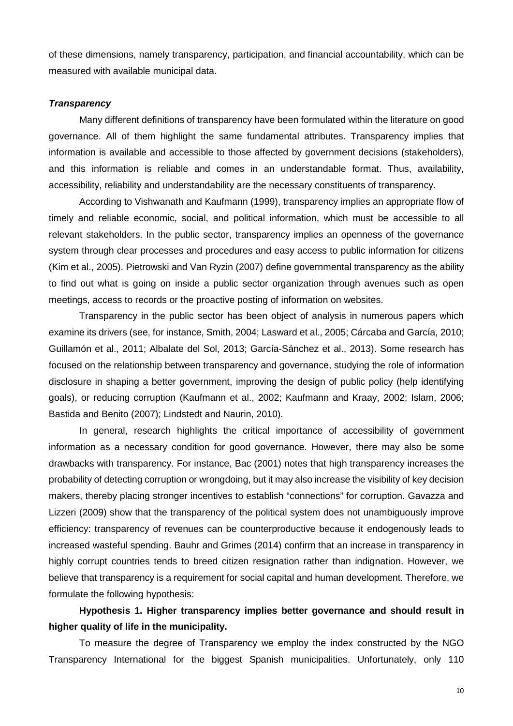of these dimensions, namely transparency, participation, and financial accountability, which can be measured with available municipal data.

## *Transparency*

Many different definitions of transparency have been formulated within the literature on good governance. All of them highlight the same fundamental attributes. Transparency implies that information is available and accessible to those affected by government decisions (stakeholders), and this information is reliable and comes in an understandable format. Thus, availability, accessibility, reliability and understandability are the necessary constituents of transparency.

According to Vishwanath and Kaufmann (1999), transparency implies an appropriate flow of timely and reliable economic, social, and political information, which must be accessible to all relevant stakeholders. In the public sector, transparency implies an openness of the governance system through clear processes and procedures and easy access to public information for citizens (Kim et al., 2005). Pietrowski and Van Ryzin (2007) define governmental transparency as the ability to find out what is going on inside a public sector organization through avenues such as open meetings, access to records or the proactive posting of information on websites.

Transparency in the public sector has been object of analysis in numerous papers which examine its drivers (see, for instance, Smith, 2004; Lasward et al., 2005; Cárcaba and García, 2010; Guillamón et al., 2011; Albalate del Sol, 2013; García-Sánchez et al., 2013). Some research has focused on the relationship between transparency and governance, studying the role of information disclosure in shaping a better government, improving the design of public policy (help identifying goals), or reducing corruption (Kaufmann et al., 2002; Kaufmann and Kraay, 2002; Islam, 2006; Bastida and Benito (2007); Lindstedt and Naurin, 2010).

In general, research highlights the critical importance of accessibility of government information as a necessary condition for good governance. However, there may also be some drawbacks with transparency. For instance, Bac (2001) notes that high transparency increases the probability of detecting corruption or wrongdoing, but it may also increase the visibility of key decision makers, thereby placing stronger incentives to establish "connections" for corruption. Gavazza and Lizzeri (2009) show that the transparency of the political system does not unambiguously improve efficiency: transparency of revenues can be counterproductive because it endogenously leads to increased wasteful spending. Bauhr and Grimes (2014) confirm that an increase in transparency in highly corrupt countries tends to breed citizen resignation rather than indignation. However, we believe that transparency is a requirement for social capital and human development. Therefore, we formulate the following hypothesis:

# **Hypothesis 1. Higher transparency implies better governance and should result in higher quality of life in the municipality.**

To measure the degree of Transparency we employ the index constructed by the NGO Transparency International for the biggest Spanish municipalities. Unfortunately, only 110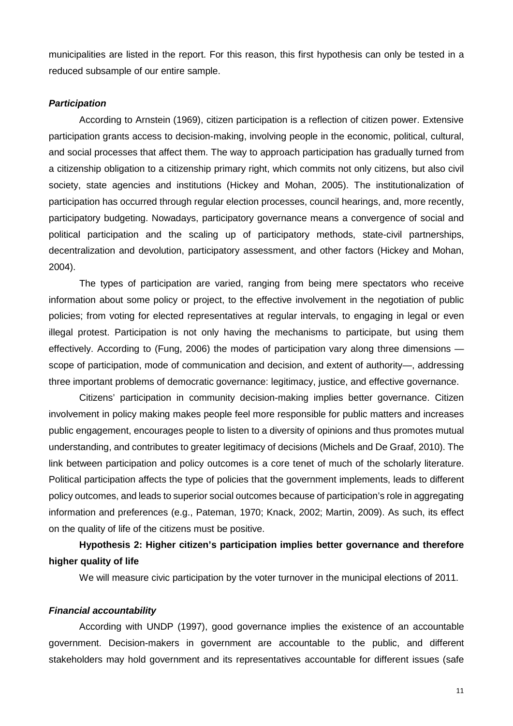municipalities are listed in the report. For this reason, this first hypothesis can only be tested in a reduced subsample of our entire sample.

### *Participation*

According to Arnstein (1969), citizen participation is a reflection of citizen power. Extensive participation grants access to decision-making, involving people in the economic, political, cultural, and social processes that affect them. The way to approach participation has gradually turned from a citizenship obligation to a citizenship primary right, which commits not only citizens, but also civil society, state agencies and institutions (Hickey and Mohan, 2005). The institutionalization of participation has occurred through regular election processes, council hearings, and, more recently, participatory budgeting. Nowadays, participatory governance means a convergence of social and political participation and the scaling up of participatory methods, state-civil partnerships, decentralization and devolution, participatory assessment, and other factors (Hickey and Mohan, 2004).

The types of participation are varied, ranging from being mere spectators who receive information about some policy or project, to the effective involvement in the negotiation of public policies; from voting for elected representatives at regular intervals, to engaging in legal or even illegal protest. Participation is not only having the mechanisms to participate, but using them effectively. According to (Fung, 2006) the modes of participation vary along three dimensions scope of participation, mode of communication and decision, and extent of authority—, addressing three important problems of democratic governance: legitimacy, justice, and effective governance.

Citizens' participation in community decision-making implies better governance. Citizen involvement in policy making makes people feel more responsible for public matters and increases public engagement, encourages people to listen to a diversity of opinions and thus promotes mutual understanding, and contributes to greater legitimacy of decisions (Michels and De Graaf, 2010). The link between participation and policy outcomes is a core tenet of much of the scholarly literature. Political participation affects the type of policies that the government implements, leads to different policy outcomes, and leads to superior social outcomes because of participation's role in aggregating information and preferences (e.g., Pateman, 1970; Knack, 2002; Martin, 2009). As such, its effect on the quality of life of the citizens must be positive.

# **Hypothesis 2: Higher citizen's participation implies better governance and therefore higher quality of life**

We will measure civic participation by the voter turnover in the municipal elections of 2011.

#### *Financial accountability*

According with UNDP (1997), good governance implies the existence of an accountable government. Decision-makers in government are accountable to the public, and different stakeholders may hold government and its representatives accountable for different issues (safe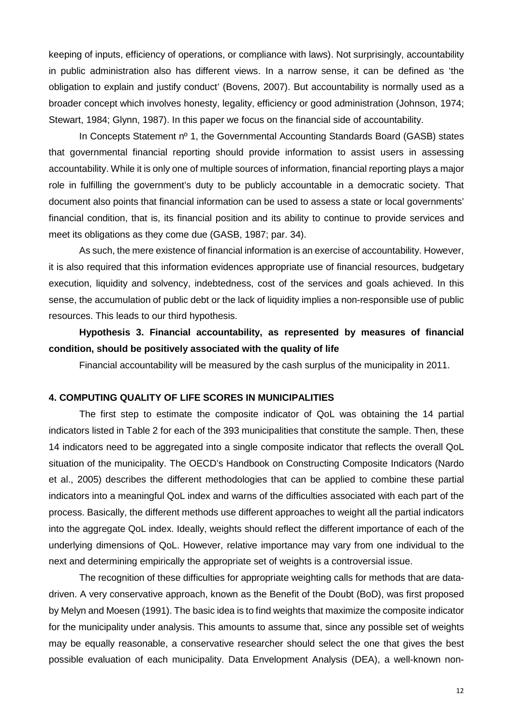keeping of inputs, efficiency of operations, or compliance with laws). Not surprisingly, accountability in public administration also has different views. In a narrow sense, it can be defined as 'the obligation to explain and justify conduct' (Bovens, 2007). But accountability is normally used as a broader concept which involves honesty, legality, efficiency or good administration (Johnson, 1974; Stewart, 1984; Glynn, 1987). In this paper we focus on the financial side of accountability.

In Concepts Statement nº 1, the Governmental Accounting Standards Board (GASB) states that governmental financial reporting should provide information to assist users in assessing accountability. While it is only one of multiple sources of information, financial reporting plays a major role in fulfilling the government's duty to be publicly accountable in a democratic society. That document also points that financial information can be used to assess a state or local governments' financial condition, that is, its financial position and its ability to continue to provide services and meet its obligations as they come due (GASB, 1987; par. 34).

As such, the mere existence of financial information is an exercise of accountability. However, it is also required that this information evidences appropriate use of financial resources, budgetary execution, liquidity and solvency, indebtedness, cost of the services and goals achieved. In this sense, the accumulation of public debt or the lack of liquidity implies a non-responsible use of public resources. This leads to our third hypothesis.

# **Hypothesis 3. Financial accountability, as represented by measures of financial condition, should be positively associated with the quality of life**

Financial accountability will be measured by the cash surplus of the municipality in 2011.

### **4. COMPUTING QUALITY OF LIFE SCORES IN MUNICIPALITIES**

The first step to estimate the composite indicator of QoL was obtaining the 14 partial indicators listed in Table 2 for each of the 393 municipalities that constitute the sample. Then, these 14 indicators need to be aggregated into a single composite indicator that reflects the overall QoL situation of the municipality. The OECD's Handbook on Constructing Composite Indicators (Nardo et al., 2005) describes the different methodologies that can be applied to combine these partial indicators into a meaningful QoL index and warns of the difficulties associated with each part of the process. Basically, the different methods use different approaches to weight all the partial indicators into the aggregate QoL index. Ideally, weights should reflect the different importance of each of the underlying dimensions of QoL. However, relative importance may vary from one individual to the next and determining empirically the appropriate set of weights is a controversial issue.

The recognition of these difficulties for appropriate weighting calls for methods that are datadriven. A very conservative approach, known as the Benefit of the Doubt (BoD), was first proposed by Melyn and Moesen (1991). The basic idea is to find weights that maximize the composite indicator for the municipality under analysis. This amounts to assume that, since any possible set of weights may be equally reasonable, a conservative researcher should select the one that gives the best possible evaluation of each municipality. Data Envelopment Analysis (DEA), a well-known non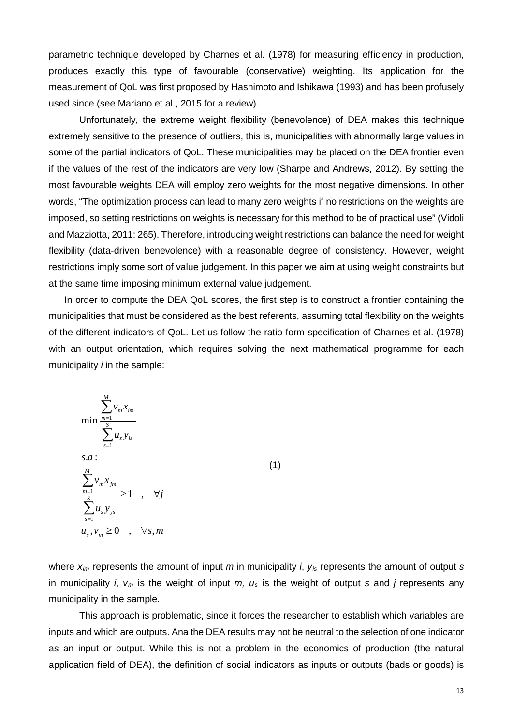parametric technique developed by Charnes et al. (1978) for measuring efficiency in production, produces exactly this type of favourable (conservative) weighting. Its application for the measurement of QoL was first proposed by Hashimoto and Ishikawa (1993) and has been profusely used since (see Mariano et al., 2015 for a review).

Unfortunately, the extreme weight flexibility (benevolence) of DEA makes this technique extremely sensitive to the presence of outliers, this is, municipalities with abnormally large values in some of the partial indicators of QoL. These municipalities may be placed on the DEA frontier even if the values of the rest of the indicators are very low (Sharpe and Andrews, 2012). By setting the most favourable weights DEA will employ zero weights for the most negative dimensions. In other words, "The optimization process can lead to many zero weights if no restrictions on the weights are imposed, so setting restrictions on weights is necessary for this method to be of practical use" (Vidoli and Mazziotta, 2011: 265). Therefore, introducing weight restrictions can balance the need for weight flexibility (data-driven benevolence) with a reasonable degree of consistency. However, weight restrictions imply some sort of value judgement. In this paper we aim at using weight constraints but at the same time imposing minimum external value judgement.

In order to compute the DEA QoL scores, the first step is to construct a frontier containing the municipalities that must be considered as the best referents, assuming total flexibility on the weights of the different indicators of QoL. Let us follow the ratio form specification of Charnes et al. (1978) with an output orientation, which requires solving the next mathematical programme for each municipality *i* in the sample:

$$
\min \frac{\sum_{m=1}^{M} v_m x_{im}}{\sum_{s=1}^{S} u_s y_{is}}
$$
\ns.a :  
\n
$$
\sum_{m=1}^{M} v_m x_{jm}
$$
\n
$$
\sum_{s=1}^{S} u_s y_{js}
$$
\n
$$
u_s, v_m \ge 0 \quad , \quad \forall s, m
$$
\n(1)

where *xim* represents the amount of input *m* in municipality *i*, *yis* represents the amount of output *s* in municipality *i*, *vm* is the weight of input *m, us* is the weight of output *s* and *j* represents any municipality in the sample.

This approach is problematic, since it forces the researcher to establish which variables are inputs and which are outputs. Ana the DEA results may not be neutral to the selection of one indicator as an input or output. While this is not a problem in the economics of production (the natural application field of DEA), the definition of social indicators as inputs or outputs (bads or goods) is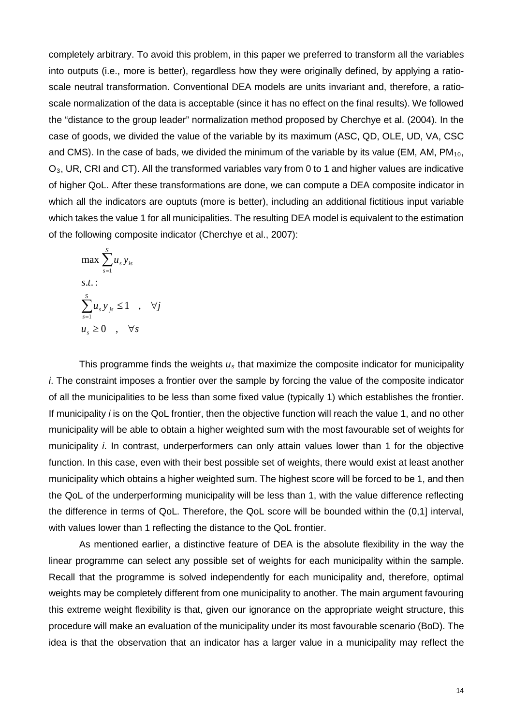completely arbitrary. To avoid this problem, in this paper we preferred to transform all the variables into outputs (i.e., more is better), regardless how they were originally defined, by applying a ratioscale neutral transformation. Conventional DEA models are units invariant and, therefore, a ratioscale normalization of the data is acceptable (since it has no effect on the final results). We followed the "distance to the group leader" normalization method proposed by Cherchye et al. (2004). In the case of goods, we divided the value of the variable by its maximum (ASC, QD, OLE, UD, VA, CSC and CMS). In the case of bads, we divided the minimum of the variable by its value (EM, AM,  $PM_{10}$ , O3, UR, CRI and CT). All the transformed variables vary from 0 to 1 and higher values are indicative of higher QoL. After these transformations are done, we can compute a DEA composite indicator in which all the indicators are ouptuts (more is better), including an additional fictitious input variable which takes the value 1 for all municipalities. The resulting DEA model is equivalent to the estimation of the following composite indicator (Cherchye et al., 2007):

$$
\max \sum_{s=1}^{S} u_s y_{is}
$$
  
s.t.:  

$$
\sum_{s=1}^{S} u_s y_{js} \le 1 \quad , \quad \forall j
$$
  

$$
u_s \ge 0 \quad , \quad \forall s
$$

This programme finds the weights  $u_s$  that maximize the composite indicator for municipality *i*. The constraint imposes a frontier over the sample by forcing the value of the composite indicator of all the municipalities to be less than some fixed value (typically 1) which establishes the frontier. If municipality *i* is on the QoL frontier, then the objective function will reach the value 1, and no other municipality will be able to obtain a higher weighted sum with the most favourable set of weights for municipality *i*. In contrast, underperformers can only attain values lower than 1 for the objective function. In this case, even with their best possible set of weights, there would exist at least another municipality which obtains a higher weighted sum. The highest score will be forced to be 1, and then the QoL of the underperforming municipality will be less than 1, with the value difference reflecting the difference in terms of QoL. Therefore, the QoL score will be bounded within the (0,1] interval, with values lower than 1 reflecting the distance to the QoL frontier.

As mentioned earlier, a distinctive feature of DEA is the absolute flexibility in the way the linear programme can select any possible set of weights for each municipality within the sample. Recall that the programme is solved independently for each municipality and, therefore, optimal weights may be completely different from one municipality to another. The main argument favouring this extreme weight flexibility is that, given our ignorance on the appropriate weight structure, this procedure will make an evaluation of the municipality under its most favourable scenario (BoD). The idea is that the observation that an indicator has a larger value in a municipality may reflect the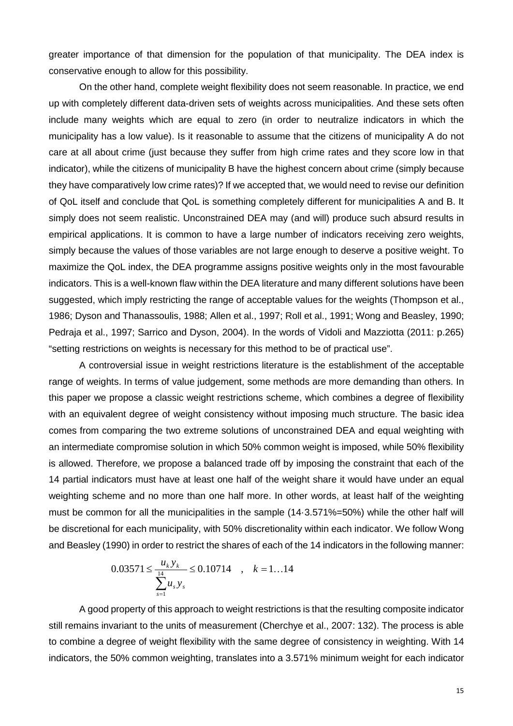greater importance of that dimension for the population of that municipality. The DEA index is conservative enough to allow for this possibility.

On the other hand, complete weight flexibility does not seem reasonable. In practice, we end up with completely different data-driven sets of weights across municipalities. And these sets often include many weights which are equal to zero (in order to neutralize indicators in which the municipality has a low value). Is it reasonable to assume that the citizens of municipality A do not care at all about crime (just because they suffer from high crime rates and they score low in that indicator), while the citizens of municipality B have the highest concern about crime (simply because they have comparatively low crime rates)? If we accepted that, we would need to revise our definition of QoL itself and conclude that QoL is something completely different for municipalities A and B. It simply does not seem realistic. Unconstrained DEA may (and will) produce such absurd results in empirical applications. It is common to have a large number of indicators receiving zero weights, simply because the values of those variables are not large enough to deserve a positive weight. To maximize the QoL index, the DEA programme assigns positive weights only in the most favourable indicators. This is a well-known flaw within the DEA literature and many different solutions have been suggested, which imply restricting the range of acceptable values for the weights (Thompson et al., 1986; Dyson and Thanassoulis, 1988; Allen et al., 1997; Roll et al., 1991; Wong and Beasley, 1990; Pedraja et al., 1997; Sarrico and Dyson, 2004). In the words of Vidoli and Mazziotta (2011: p.265) "setting restrictions on weights is necessary for this method to be of practical use".

A controversial issue in weight restrictions literature is the establishment of the acceptable range of weights. In terms of value judgement, some methods are more demanding than others. In this paper we propose a classic weight restrictions scheme, which combines a degree of flexibility with an equivalent degree of weight consistency without imposing much structure. The basic idea comes from comparing the two extreme solutions of unconstrained DEA and equal weighting with an intermediate compromise solution in which 50% common weight is imposed, while 50% flexibility is allowed. Therefore, we propose a balanced trade off by imposing the constraint that each of the 14 partial indicators must have at least one half of the weight share it would have under an equal weighting scheme and no more than one half more. In other words, at least half of the weighting must be common for all the municipalities in the sample (14·3.571%=50%) while the other half will be discretional for each municipality, with 50% discretionality within each indicator. We follow Wong and Beasley (1990) in order to restrict the shares of each of the 14 indicators in the following manner:

$$
0.03571 \le \frac{u_k y_k}{\sum_{s=1}^{14} u_s y_s} \le 0.10714 \quad , \quad k = 1...14
$$

A good property of this approach to weight restrictions is that the resulting composite indicator still remains invariant to the units of measurement (Cherchye et al., 2007: 132). The process is able to combine a degree of weight flexibility with the same degree of consistency in weighting. With 14 indicators, the 50% common weighting, translates into a 3.571% minimum weight for each indicator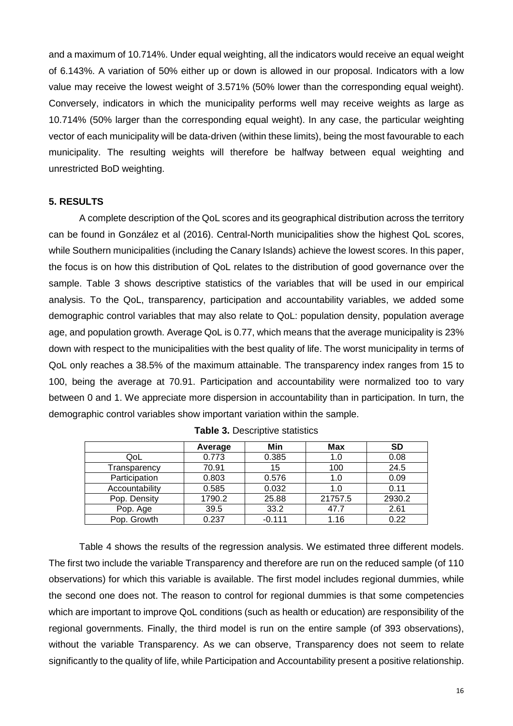and a maximum of 10.714%. Under equal weighting, all the indicators would receive an equal weight of 6.143%. A variation of 50% either up or down is allowed in our proposal. Indicators with a low value may receive the lowest weight of 3.571% (50% lower than the corresponding equal weight). Conversely, indicators in which the municipality performs well may receive weights as large as 10.714% (50% larger than the corresponding equal weight). In any case, the particular weighting vector of each municipality will be data-driven (within these limits), being the most favourable to each municipality. The resulting weights will therefore be halfway between equal weighting and unrestricted BoD weighting.

### **5. RESULTS**

A complete description of the QoL scores and its geographical distribution across the territory can be found in González et al (2016). Central-North municipalities show the highest QoL scores, while Southern municipalities (including the Canary Islands) achieve the lowest scores. In this paper, the focus is on how this distribution of QoL relates to the distribution of good governance over the sample. Table 3 shows descriptive statistics of the variables that will be used in our empirical analysis. To the QoL, transparency, participation and accountability variables, we added some demographic control variables that may also relate to QoL: population density, population average age, and population growth. Average QoL is 0.77, which means that the average municipality is 23% down with respect to the municipalities with the best quality of life. The worst municipality in terms of QoL only reaches a 38.5% of the maximum attainable. The transparency index ranges from 15 to 100, being the average at 70.91. Participation and accountability were normalized too to vary between 0 and 1. We appreciate more dispersion in accountability than in participation. In turn, the demographic control variables show important variation within the sample.

|                | Average | Min      | Max     | <b>SD</b> |
|----------------|---------|----------|---------|-----------|
| QoL            | 0.773   | 0.385    | 1.0     | 0.08      |
| Transparency   | 70.91   | 15       | 100     | 24.5      |
| Participation  | 0.803   | 0.576    | 1.0     | 0.09      |
| Accountability | 0.585   | 0.032    | 1.0     | 0.11      |
| Pop. Density   | 1790.2  | 25.88    | 21757.5 | 2930.2    |
| Pop. Age       | 39.5    | 33.2     | 47.7    | 2.61      |
| Pop. Growth    | 0.237   | $-0.111$ | 1.16    | 0.22      |

|  | <b>Table 3. Descriptive statistics</b> |  |
|--|----------------------------------------|--|
|--|----------------------------------------|--|

Table 4 shows the results of the regression analysis. We estimated three different models. The first two include the variable Transparency and therefore are run on the reduced sample (of 110 observations) for which this variable is available. The first model includes regional dummies, while the second one does not. The reason to control for regional dummies is that some competencies which are important to improve QoL conditions (such as health or education) are responsibility of the regional governments. Finally, the third model is run on the entire sample (of 393 observations), without the variable Transparency. As we can observe, Transparency does not seem to relate significantly to the quality of life, while Participation and Accountability present a positive relationship.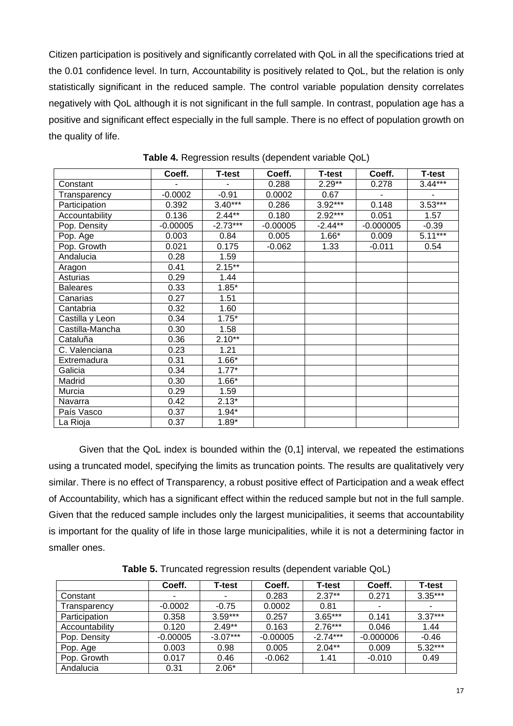Citizen participation is positively and significantly correlated with QoL in all the specifications tried at the 0.01 confidence level. In turn, Accountability is positively related to QoL, but the relation is only statistically significant in the reduced sample. The control variable population density correlates negatively with QoL although it is not significant in the full sample. In contrast, population age has a positive and significant effect especially in the full sample. There is no effect of population growth on the quality of life.

|                 | Coeff.     | <b>T-test</b> | Coeff.     | <b>T-test</b> | Coeff.      | <b>T-test</b> |
|-----------------|------------|---------------|------------|---------------|-------------|---------------|
| Constant        |            |               | 0.288      | $2.29**$      | 0.278       | $3.44***$     |
| Transparency    | $-0.0002$  | $-0.91$       | 0.0002     | 0.67          |             |               |
| Participation   | 0.392      | $3.40***$     | 0.286      | $3.92***$     | 0.148       | $3.53***$     |
| Accountability  | 0.136      | $2.44***$     | 0.180      | $2.92***$     | 0.051       | 1.57          |
| Pop. Density    | $-0.00005$ | $-2.73***$    | $-0.00005$ | $-2.44**$     | $-0.000005$ | $-0.39$       |
| Pop. Age        | 0.003      | 0.84          | 0.005      | $1.66*$       | 0.009       | $5.11***$     |
| Pop. Growth     | 0.021      | 0.175         | $-0.062$   | 1.33          | $-0.011$    | 0.54          |
| Andalucia       | 0.28       | 1.59          |            |               |             |               |
| Aragon          | 0.41       | $2.15***$     |            |               |             |               |
| Asturias        | 0.29       | 1.44          |            |               |             |               |
| <b>Baleares</b> | 0.33       | $1.85*$       |            |               |             |               |
| Canarias        | 0.27       | 1.51          |            |               |             |               |
| Cantabria       | 0.32       | 1.60          |            |               |             |               |
| Castilla y Leon | 0.34       | $1.75*$       |            |               |             |               |
| Castilla-Mancha | 0.30       | 1.58          |            |               |             |               |
| Cataluña        | 0.36       | $2.10**$      |            |               |             |               |
| C. Valenciana   | 0.23       | 1.21          |            |               |             |               |
| Extremadura     | 0.31       | $1.66*$       |            |               |             |               |
| Galicia         | 0.34       | $1.77*$       |            |               |             |               |
| Madrid          | 0.30       | $1.66*$       |            |               |             |               |
| Murcia          | 0.29       | 1.59          |            |               |             |               |
| Navarra         | 0.42       | $2.13*$       |            |               |             |               |
| País Vasco      | 0.37       | $1.94*$       |            |               |             |               |
| La Rioja        | 0.37       | $1.89*$       |            |               |             |               |

**Table 4.** Regression results (dependent variable QoL)

Given that the QoL index is bounded within the (0,1] interval, we repeated the estimations using a truncated model, specifying the limits as truncation points. The results are qualitatively very similar. There is no effect of Transparency, a robust positive effect of Participation and a weak effect of Accountability, which has a significant effect within the reduced sample but not in the full sample. Given that the reduced sample includes only the largest municipalities, it seems that accountability is important for the quality of life in those large municipalities, while it is not a determining factor in smaller ones.

|                | Coeff.     | <b>T-test</b> | Coeff.     | <b>T-test</b> | Coeff.      | <b>T-test</b> |
|----------------|------------|---------------|------------|---------------|-------------|---------------|
| Constant       |            |               | 0.283      | $2.37**$      | 0.271       | $3.35***$     |
| Transparencv   | $-0.0002$  | $-0.75$       | 0.0002     | 0.81          | ۰           |               |
| Participation  | 0.358      | $3.59***$     | 0.257      | $3.65***$     | 0.141       | $3.37***$     |
| Accountability | 0.120      | $2.49**$      | 0.163      | $2.76***$     | 0.046       | 1.44          |
| Pop. Density   | $-0.00005$ | $-3.07***$    | $-0.00005$ | $-2.74***$    | $-0.000006$ | $-0.46$       |
| Pop. Age       | 0.003      | 0.98          | 0.005      | $2.04**$      | 0.009       | $5.32***$     |
| Pop. Growth    | 0.017      | 0.46          | $-0.062$   | 1.41          | $-0.010$    | 0.49          |
| Andalucia      | 0.31       | $2.06*$       |            |               |             |               |

**Table 5.** Truncated regression results (dependent variable QoL)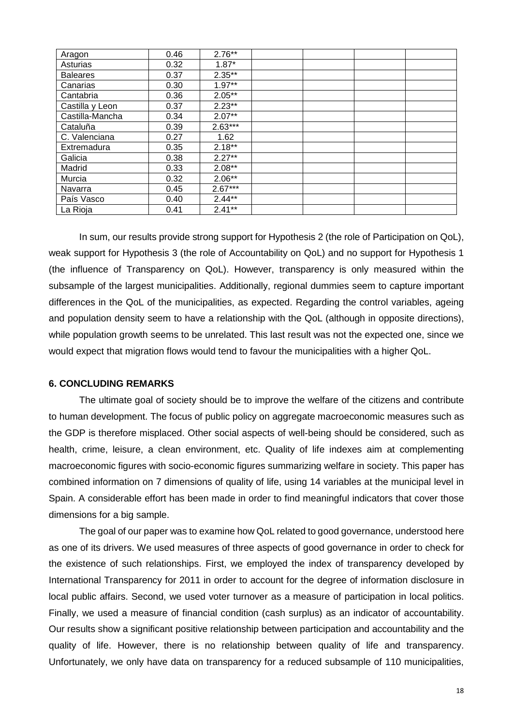| Aragon          | 0.46 | $2.76***$ |  |  |
|-----------------|------|-----------|--|--|
| Asturias        | 0.32 | $1.87*$   |  |  |
| <b>Baleares</b> | 0.37 | $2.35***$ |  |  |
| Canarias        | 0.30 | $1.97**$  |  |  |
| Cantabria       | 0.36 | $2.05***$ |  |  |
| Castilla y Leon | 0.37 | $2.23**$  |  |  |
| Castilla-Mancha | 0.34 | $2.07**$  |  |  |
| Cataluña        | 0.39 | $2.63***$ |  |  |
| C. Valenciana   | 0.27 | 1.62      |  |  |
| Extremadura     | 0.35 | $2.18***$ |  |  |
| Galicia         | 0.38 | $2.27**$  |  |  |
| Madrid          | 0.33 | $2.08**$  |  |  |
| Murcia          | 0.32 | $2.06**$  |  |  |
| Navarra         | 0.45 | $2.67***$ |  |  |
| País Vasco      | 0.40 | $2.44**$  |  |  |
| La Rioja        | 0.41 | $2.41**$  |  |  |

In sum, our results provide strong support for Hypothesis 2 (the role of Participation on QoL), weak support for Hypothesis 3 (the role of Accountability on QoL) and no support for Hypothesis 1 (the influence of Transparency on QoL). However, transparency is only measured within the subsample of the largest municipalities. Additionally, regional dummies seem to capture important differences in the QoL of the municipalities, as expected. Regarding the control variables, ageing and population density seem to have a relationship with the QoL (although in opposite directions), while population growth seems to be unrelated. This last result was not the expected one, since we would expect that migration flows would tend to favour the municipalities with a higher QoL.

### **6. CONCLUDING REMARKS**

The ultimate goal of society should be to improve the welfare of the citizens and contribute to human development. The focus of public policy on aggregate macroeconomic measures such as the GDP is therefore misplaced. Other social aspects of well-being should be considered, such as health, crime, leisure, a clean environment, etc. Quality of life indexes aim at complementing macroeconomic figures with socio-economic figures summarizing welfare in society. This paper has combined information on 7 dimensions of quality of life, using 14 variables at the municipal level in Spain. A considerable effort has been made in order to find meaningful indicators that cover those dimensions for a big sample.

The goal of our paper was to examine how QoL related to good governance, understood here as one of its drivers. We used measures of three aspects of good governance in order to check for the existence of such relationships. First, we employed the index of transparency developed by International Transparency for 2011 in order to account for the degree of information disclosure in local public affairs. Second, we used voter turnover as a measure of participation in local politics. Finally, we used a measure of financial condition (cash surplus) as an indicator of accountability. Our results show a significant positive relationship between participation and accountability and the quality of life. However, there is no relationship between quality of life and transparency. Unfortunately, we only have data on transparency for a reduced subsample of 110 municipalities,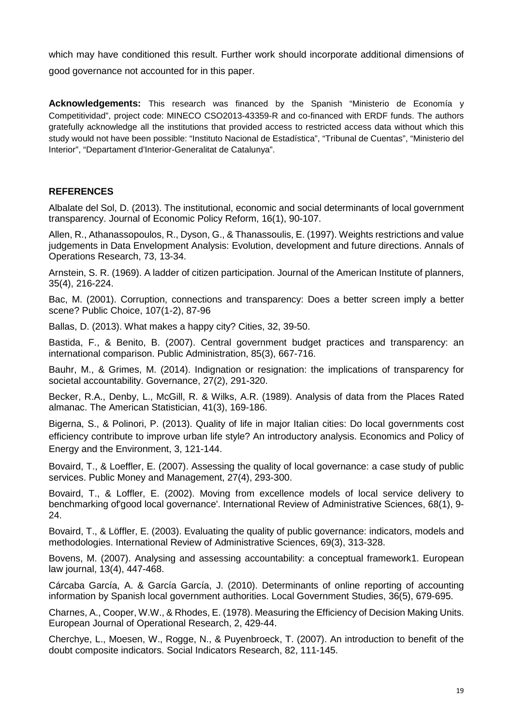which may have conditioned this result. Further work should incorporate additional dimensions of good governance not accounted for in this paper.

**Acknowledgements:** This research was financed by the Spanish "Ministerio de Economía y Competitividad", project code: MINECO CSO2013-43359-R and co-financed with ERDF funds. The authors gratefully acknowledge all the institutions that provided access to restricted access data without which this study would not have been possible: "Instituto Nacional de Estadística", "Tribunal de Cuentas", "Ministerio del Interior", "Departament d'Interior-Generalitat de Catalunya".

## **REFERENCES**

Albalate del Sol, D. (2013). The institutional, economic and social determinants of local government transparency. Journal of Economic Policy Reform, 16(1), 90-107.

Allen, R., Athanassopoulos, R., Dyson, G., & Thanassoulis, E. (1997). Weights restrictions and value judgements in Data Envelopment Analysis: Evolution, development and future directions. Annals of Operations Research, 73, 13-34.

Arnstein, S. R. (1969). A ladder of citizen participation. Journal of the American Institute of planners, 35(4), 216-224.

Bac, M. (2001). Corruption, connections and transparency: Does a better screen imply a better scene? Public Choice, 107(1-2), 87-96

Ballas, D. (2013). What makes a happy city? Cities, 32, 39-50.

Bastida, F., & Benito, B. (2007). Central government budget practices and transparency: an international comparison. Public Administration, 85(3), 667-716.

Bauhr, M., & Grimes, M. (2014). Indignation or resignation: the implications of transparency for societal accountability. Governance, 27(2), 291-320.

Becker, R.A., Denby, L., McGill, R. & Wilks, A.R. (1989). Analysis of data from the Places Rated almanac. The American Statistician, 41(3), 169-186.

Bigerna, S., & Polinori, P. (2013). Quality of life in major Italian cities: Do local governments cost efficiency contribute to improve urban life style? An introductory analysis. Economics and Policy of Energy and the Environment, 3, 121-144.

Bovaird, T., & Loeffler, E. (2007). Assessing the quality of local governance: a case study of public services. Public Money and Management, 27(4), 293-300.

Bovaird, T., & Loffler, E. (2002). Moving from excellence models of local service delivery to benchmarking of'good local governance'. International Review of Administrative Sciences, 68(1), 9- 24.

Bovaird, T., & Löffler, E. (2003). Evaluating the quality of public governance: indicators, models and methodologies. International Review of Administrative Sciences, 69(3), 313-328.

Bovens, M. (2007). Analysing and assessing accountability: a conceptual framework1. European law journal, 13(4), 447-468.

Cárcaba García, A. & García García, J. (2010). Determinants of online reporting of accounting information by Spanish local government authorities. Local Government Studies, 36(5), 679-695.

Charnes, A., Cooper, W.W., & Rhodes, E. (1978). Measuring the Efficiency of Decision Making Units. European Journal of Operational Research, 2, 429-44.

Cherchye, L., Moesen, W., Rogge, N., & Puyenbroeck, T. (2007). An introduction to benefit of the doubt composite indicators. Social Indicators Research, 82, 111-145.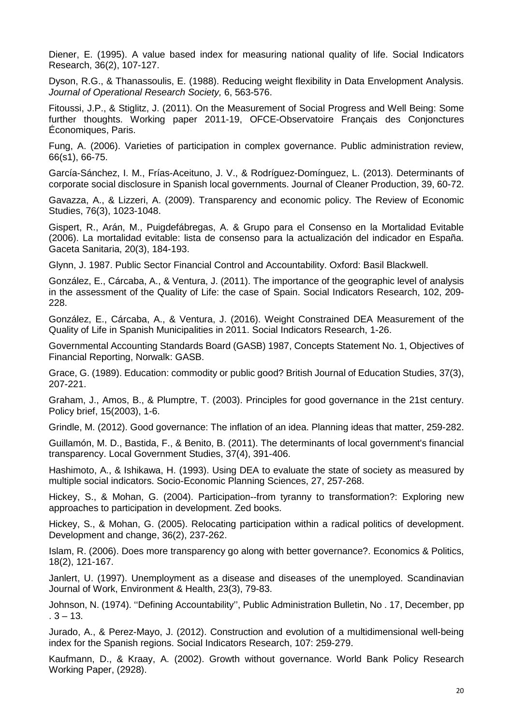Diener, E. (1995). A value based index for measuring national quality of life. Social Indicators Research, 36(2), 107-127.

Dyson, R.G., & Thanassoulis, E. (1988). Reducing weight flexibility in Data Envelopment Analysis. *Journal of Operational Research Society,* 6, 563-576.

Fitoussi, J.P., & Stiglitz, J. (2011). On the Measurement of Social Progress and Well Being: Some further thoughts. Working paper 2011-19, OFCE-Observatoire Français des Conjonctures Économiques, Paris.

Fung, A. (2006). Varieties of participation in complex governance. Public administration review, 66(s1), 66-75.

García-Sánchez, I. M., Frías-Aceituno, J. V., & Rodríguez-Domínguez, L. (2013). Determinants of corporate social disclosure in Spanish local governments. Journal of Cleaner Production, 39, 60-72.

Gavazza, A., & Lizzeri, A. (2009). Transparency and economic policy. The Review of Economic Studies, 76(3), 1023-1048.

Gispert, R., Arán, M., Puigdefábregas, A. & Grupo para el Consenso en la Mortalidad Evitable (2006). La mortalidad evitable: lista de consenso para la actualización del indicador en España. Gaceta Sanitaria, 20(3), 184-193.

Glynn, J. 1987. Public Sector Financial Control and Accountability. Oxford: Basil Blackwell.

González, E., Cárcaba, A., & Ventura, J. (2011). The importance of the geographic level of analysis in the assessment of the Quality of Life: the case of Spain. Social Indicators Research, 102, 209- 228.

González, E., Cárcaba, A., & Ventura, J. (2016). Weight Constrained DEA Measurement of the Quality of Life in Spanish Municipalities in 2011. Social Indicators Research, 1-26.

Governmental Accounting Standards Board (GASB) 1987, Concepts Statement No. 1, Objectives of Financial Reporting, Norwalk: GASB.

Grace, G. (1989). Education: commodity or public good? British Journal of Education Studies, 37(3), 207-221.

Graham, J., Amos, B., & Plumptre, T. (2003). Principles for good governance in the 21st century. Policy brief, 15(2003), 1-6.

Grindle, M. (2012). Good governance: The inflation of an idea. Planning ideas that matter, 259-282.

Guillamón, M. D., Bastida, F., & Benito, B. (2011). The determinants of local government's financial transparency. Local Government Studies, 37(4), 391-406.

Hashimoto, A., & Ishikawa, H. (1993). Using DEA to evaluate the state of society as measured by multiple social indicators. Socio-Economic Planning Sciences, 27, 257-268.

Hickey, S., & Mohan, G. (2004). Participation--from tyranny to transformation?: Exploring new approaches to participation in development. Zed books.

Hickey, S., & Mohan, G. (2005). Relocating participation within a radical politics of development. Development and change, 36(2), 237-262.

Islam, R. (2006). Does more transparency go along with better governance?. Economics & Politics, 18(2), 121-167.

Janlert, U. (1997). Unemployment as a disease and diseases of the unemployed. Scandinavian Journal of Work, Environment & Health, 23(3), 79-83.

Johnson, N. (1974). ''Defining Accountability'', Public Administration Bulletin, No . 17, December, pp  $.3 - 13.$ 

Jurado, A., & Perez-Mayo, J. (2012). Construction and evolution of a multidimensional well-being index for the Spanish regions. Social Indicators Research, 107: 259-279.

Kaufmann, D., & Kraay, A. (2002). Growth without governance. World Bank Policy Research Working Paper, (2928).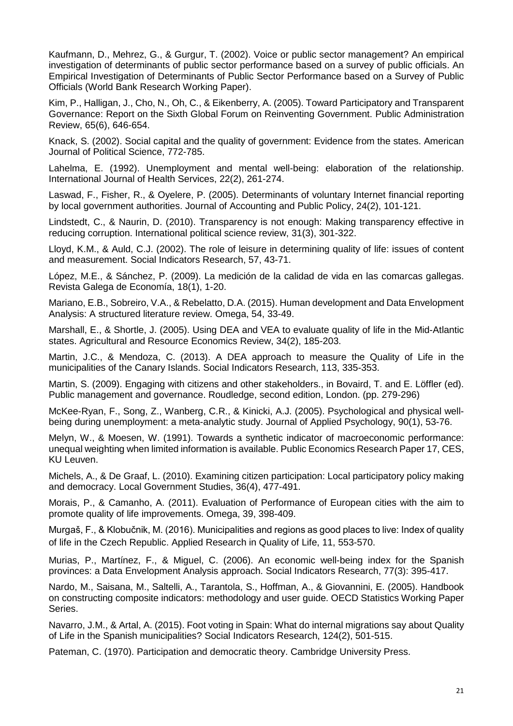Kaufmann, D., Mehrez, G., & Gurgur, T. (2002). Voice or public sector management? An empirical investigation of determinants of public sector performance based on a survey of public officials. An Empirical Investigation of Determinants of Public Sector Performance based on a Survey of Public Officials (World Bank Research Working Paper).

Kim, P., Halligan, J., Cho, N., Oh, C., & Eikenberry, A. (2005). Toward Participatory and Transparent Governance: Report on the Sixth Global Forum on Reinventing Government. Public Administration Review, 65(6), 646-654.

Knack, S. (2002). Social capital and the quality of government: Evidence from the states. American Journal of Political Science, 772-785.

Lahelma, E. (1992). Unemployment and mental well-being: elaboration of the relationship. International Journal of Health Services, 22(2), 261-274.

Laswad, F., Fisher, R., & Oyelere, P. (2005). Determinants of voluntary Internet financial reporting by local government authorities. Journal of Accounting and Public Policy, 24(2), 101-121.

Lindstedt, C., & Naurin, D. (2010). Transparency is not enough: Making transparency effective in reducing corruption. International political science review, 31(3), 301-322.

Lloyd, K.M., & Auld, C.J. (2002). The role of leisure in determining quality of life: issues of content and measurement. Social Indicators Research, 57, 43-71.

López, M.E., & Sánchez, P. (2009). La medición de la calidad de vida en las comarcas gallegas. Revista Galega de Economía, 18(1), 1-20.

Mariano, E.B., Sobreiro, V.A., & Rebelatto, D.A. (2015). Human development and Data Envelopment Analysis: A structured literature review. Omega, 54, 33-49.

Marshall, E., & Shortle, J. (2005). Using DEA and VEA to evaluate quality of life in the Mid-Atlantic states. Agricultural and Resource Economics Review, 34(2), 185-203.

Martin, J.C., & Mendoza, C. (2013). A DEA approach to measure the Quality of Life in the municipalities of the Canary Islands. Social Indicators Research, 113, 335-353.

Martin, S. (2009). Engaging with citizens and other stakeholders., in Bovaird, T. and E. Löffler (ed). Public management and governance. Roudledge, second edition, London. (pp. 279-296)

McKee-Ryan, F., Song, Z., Wanberg, C.R., & Kinicki, A.J. (2005). Psychological and physical wellbeing during unemployment: a meta-analytic study. Journal of Applied Psychology, 90(1), 53-76.

Melyn, W., & Moesen, W. (1991). Towards a synthetic indicator of macroeconomic performance: unequal weighting when limited information is available. Public Economics Research Paper 17, CES, KU Leuven.

Michels, A., & De Graaf, L. (2010). Examining citizen participation: Local participatory policy making and democracy. Local Government Studies, 36(4), 477-491.

Morais, P., & Camanho, A. (2011). Evaluation of Performance of European cities with the aim to promote quality of life improvements. Omega, 39, 398-409.

Murgaš, F., & Klobučnik, M. (2016). Municipalities and regions as good places to live: Index of quality of life in the Czech Republic. Applied Research in Quality of Life, 11, 553-570.

Murias, P., Martínez, F., & Miguel, C. (2006). An economic well-being index for the Spanish provinces: a Data Envelopment Analysis approach. Social Indicators Research, 77(3): 395-417.

Nardo, M., Saisana, M., Saltelli, A., Tarantola, S., Hoffman, A., & Giovannini, E. (2005). Handbook on constructing composite indicators: methodology and user guide. OECD Statistics Working Paper Series.

Navarro, J.M., & Artal, A. (2015). Foot voting in Spain: What do internal migrations say about Quality of Life in the Spanish municipalities? Social Indicators Research, 124(2), 501-515.

Pateman, C. (1970). Participation and democratic theory. Cambridge University Press.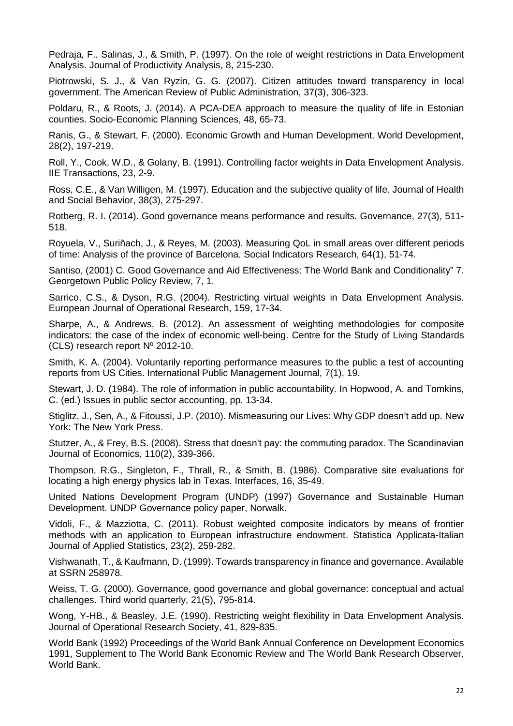Pedraja, F., Salinas, J., & Smith, P. (1997). On the role of weight restrictions in Data Envelopment Analysis. Journal of Productivity Analysis, 8, 215-230.

Piotrowski, S. J., & Van Ryzin, G. G. (2007). Citizen attitudes toward transparency in local government. The American Review of Public Administration, 37(3), 306-323.

Poldaru, R., & Roots, J. (2014). A PCA-DEA approach to measure the quality of life in Estonian counties. Socio-Economic Planning Sciences, 48, 65-73.

Ranis, G., & Stewart, F. (2000). Economic Growth and Human Development. World Development, 28(2), 197-219.

Roll, Y., Cook, W.D., & Golany, B. (1991). Controlling factor weights in Data Envelopment Analysis. IIE Transactions, 23, 2-9.

Ross, C.E., & Van Willigen, M. (1997). Education and the subjective quality of life. Journal of Health and Social Behavior, 38(3), 275-297.

Rotberg, R. I. (2014). Good governance means performance and results. Governance, 27(3), 511- 518.

Royuela, V., Suriñach, J., & Reyes, M. (2003). Measuring QoL in small areas over different periods of time: Analysis of the province of Barcelona. Social Indicators Research, 64(1), 51-74.

Santiso, (2001) C. Good Governance and Aid Effectiveness: The World Bank and Conditionality" 7. Georgetown Public Policy Review, 7, 1.

Sarrico, C.S., & Dyson, R.G. (2004). Restricting virtual weights in Data Envelopment Analysis. European Journal of Operational Research, 159, 17-34.

Sharpe, A., & Andrews, B. (2012). An assessment of weighting methodologies for composite indicators: the case of the index of economic well-being. Centre for the Study of Living Standards (CLS) research report Nº 2012-10.

Smith, K. A. (2004). Voluntarily reporting performance measures to the public a test of accounting reports from US Cities. International Public Management Journal, 7(1), 19.

Stewart, J. D. (1984). The role of information in public accountability. In Hopwood, A. and Tomkins, C. (ed.) Issues in public sector accounting, pp. 13-34.

Stiglitz, J., Sen, A., & Fitoussi, J.P. (2010). Mismeasuring our Lives: Why GDP doesn't add up. New York: The New York Press.

Stutzer, A., & Frey, B.S. (2008). Stress that doesn't pay: the commuting paradox. The Scandinavian Journal of Economics, 110(2), 339-366.

Thompson, R.G., Singleton, F., Thrall, R., & Smith, B. (1986). Comparative site evaluations for locating a high energy physics lab in Texas. Interfaces, 16, 35-49.

United Nations Development Program (UNDP) (1997) Governance and Sustainable Human Development. UNDP Governance policy paper, Norwalk.

Vidoli, F., & Mazziotta, C. (2011). Robust weighted composite indicators by means of frontier methods with an application to European infrastructure endowment. Statistica Applicata-Italian Journal of Applied Statistics, 23(2), 259-282.

Vishwanath, T., & Kaufmann, D. (1999). Towards transparency in finance and governance. Available at SSRN 258978.

Weiss, T. G. (2000). Governance, good governance and global governance: conceptual and actual challenges. Third world quarterly, 21(5), 795-814.

Wong, Y-HB., & Beasley, J.E. (1990). Restricting weight flexibility in Data Envelopment Analysis. Journal of Operational Research Society, 41, 829-835.

World Bank (1992) Proceedings of the World Bank Annual Conference on Development Economics 1991, Supplement to The World Bank Economic Review and The World Bank Research Observer, World Bank.